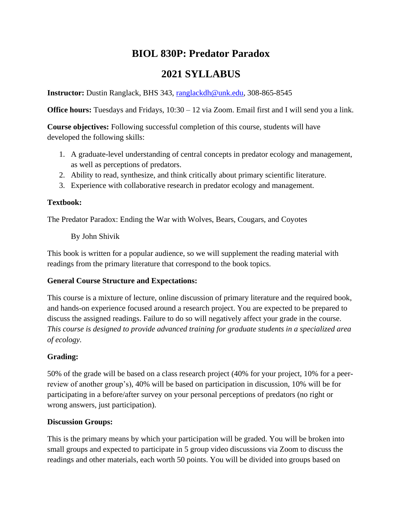# **BIOL 830P: Predator Paradox**

# **2021 SYLLABUS**

**Instructor:** Dustin Ranglack, BHS 343, [ranglackdh@unk.edu,](mailto:ranglackdh@unk.edu) 308-865-8545

**Office hours:** Tuesdays and Fridays, 10:30 – 12 via Zoom. Email first and I will send you a link.

**Course objectives:** Following successful completion of this course, students will have developed the following skills:

- 1. A graduate-level understanding of central concepts in predator ecology and management, as well as perceptions of predators.
- 2. Ability to read, synthesize, and think critically about primary scientific literature.
- 3. Experience with collaborative research in predator ecology and management.

# **Textbook:**

The Predator Paradox: Ending the War with Wolves, Bears, Cougars, and Coyotes

By John Shivik

This book is written for a popular audience, so we will supplement the reading material with readings from the primary literature that correspond to the book topics.

# **General Course Structure and Expectations:**

This course is a mixture of lecture, online discussion of primary literature and the required book, and hands-on experience focused around a research project. You are expected to be prepared to discuss the assigned readings. Failure to do so will negatively affect your grade in the course. *This course is designed to provide advanced training for graduate students in a specialized area of ecology.*

# **Grading:**

50% of the grade will be based on a class research project (40% for your project, 10% for a peerreview of another group's), 40% will be based on participation in discussion, 10% will be for participating in a before/after survey on your personal perceptions of predators (no right or wrong answers, just participation).

# **Discussion Groups:**

This is the primary means by which your participation will be graded. You will be broken into small groups and expected to participate in 5 group video discussions via Zoom to discuss the readings and other materials, each worth 50 points. You will be divided into groups based on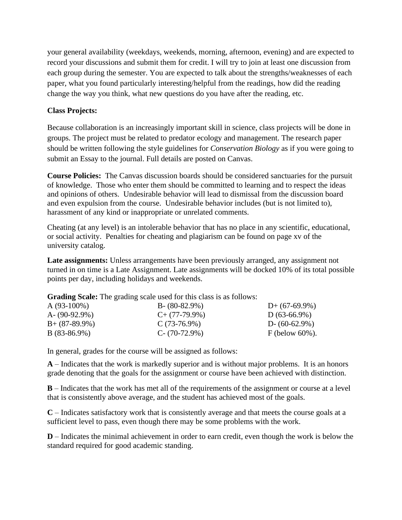your general availability (weekdays, weekends, morning, afternoon, evening) and are expected to record your discussions and submit them for credit. I will try to join at least one discussion from each group during the semester. You are expected to talk about the strengths/weaknesses of each paper, what you found particularly interesting/helpful from the readings, how did the reading change the way you think, what new questions do you have after the reading, etc.

#### **Class Projects:**

Because collaboration is an increasingly important skill in science, class projects will be done in groups. The project must be related to predator ecology and management. The research paper should be written following the style guidelines for *Conservation Biology* as if you were going to submit an Essay to the journal. Full details are posted on Canvas.

**Course Policies:** The Canvas discussion boards should be considered sanctuaries for the pursuit of knowledge. Those who enter them should be committed to learning and to respect the ideas and opinions of others. Undesirable behavior will lead to dismissal from the discussion board and even expulsion from the course. Undesirable behavior includes (but is not limited to), harassment of any kind or inappropriate or unrelated comments.

Cheating (at any level) is an intolerable behavior that has no place in any scientific, educational, or social activity. Penalties for cheating and plagiarism can be found on page xv of the university catalog.

Late assignments: Unless arrangements have been previously arranged, any assignment not turned in on time is a Late Assignment. Late assignments will be docked 10% of its total possible points per day, including holidays and weekends.

**Grading Scale:** The grading scale used for this class is as follows:

| $A(93-100\%)$    | $B - (80-82.9\%)$ | $D+$ (67-69.9%)    |
|------------------|-------------------|--------------------|
| A- $(90-92.9\%)$ | $C+$ (77-79.9%)   | $D(63-66.9\%)$     |
| $B+ (87-89.9\%)$ | $C(73-76.9\%)$    | $D - (60-62.9\%)$  |
| $B(83-86.9\%)$   | $C - (70-72.9%)$  | F (below $60\%$ ). |

In general, grades for the course will be assigned as follows:

**A** – Indicates that the work is markedly superior and is without major problems. It is an honors grade denoting that the goals for the assignment or course have been achieved with distinction.

**B** – Indicates that the work has met all of the requirements of the assignment or course at a level that is consistently above average, and the student has achieved most of the goals.

**C** – Indicates satisfactory work that is consistently average and that meets the course goals at a sufficient level to pass, even though there may be some problems with the work.

**D** – Indicates the minimal achievement in order to earn credit, even though the work is below the standard required for good academic standing.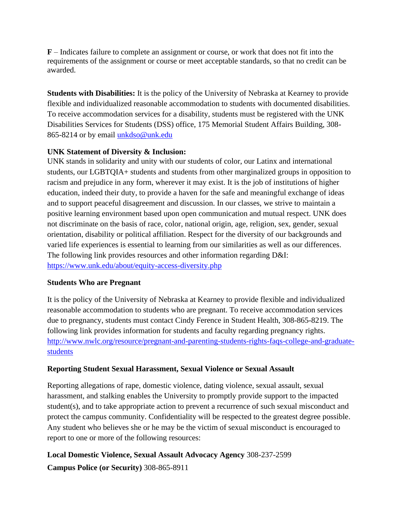**F** – Indicates failure to complete an assignment or course, or work that does not fit into the requirements of the assignment or course or meet acceptable standards, so that no credit can be awarded.

**Students with Disabilities:** It is the policy of the University of Nebraska at Kearney to provide flexible and individualized reasonable accommodation to students with documented disabilities. To receive accommodation services for a disability, students must be registered with the UNK Disabilities Services for Students (DSS) office, 175 Memorial Student Affairs Building, 308- 865-8214 or by email [unkdso@unk.edu](mailto:unkdso@unk.edu)

## **UNK Statement of Diversity & Inclusion:**

UNK stands in solidarity and unity with our students of color, our Latinx and international students, our LGBTQIA+ students and students from other marginalized groups in opposition to racism and prejudice in any form, wherever it may exist. It is the job of institutions of higher education, indeed their duty, to provide a haven for the safe and meaningful exchange of ideas and to support peaceful disagreement and discussion. In our classes, we strive to maintain a positive learning environment based upon open communication and mutual respect. UNK does not discriminate on the basis of race, color, national origin, age, religion, sex, gender, sexual orientation, disability or political affiliation. Respect for the diversity of our backgrounds and varied life experiences is essential to learning from our similarities as well as our differences. The following link provides resources and other information regarding D&I: <https://www.unk.edu/about/equity-access-diversity.php>

### **Students Who are Pregnant**

It is the policy of the University of Nebraska at Kearney to provide flexible and individualized reasonable accommodation to students who are pregnant. To receive accommodation services due to pregnancy, students must contact Cindy Ference in Student Health, 308-865-8219. The following link provides information for students and faculty regarding pregnancy rights. [http://www.nwlc.org/resource/pregnant-and-parenting-students-rights-faqs-college-and-graduate](https://urldefense.proofpoint.com/v2/url?u=http-3A__www.nwlc.org_resource_pregnant-2Dand-2Dparenting-2Dstudents-2Drights-2Dfaqs-2Dcollege-2Dand-2Dgraduate-2Dstudents&d=DwMFAg&c=Cu5g146wZdoqVuKpTNsYHeFX_rg6kWhlkLF8Eft-wwo&r=BJkIhAaMtWY7PlqIhIOyVw&m=RgBL3s2VNHfvD5ReMK2q_PhwYU8dbEt1vxs1BO4WkpQ&s=MmB91XAzaW-E7UPMXPGx9tWJQbTWJYyYzM8gLjhEzQ0&e=)[students](https://urldefense.proofpoint.com/v2/url?u=http-3A__www.nwlc.org_resource_pregnant-2Dand-2Dparenting-2Dstudents-2Drights-2Dfaqs-2Dcollege-2Dand-2Dgraduate-2Dstudents&d=DwMFAg&c=Cu5g146wZdoqVuKpTNsYHeFX_rg6kWhlkLF8Eft-wwo&r=BJkIhAaMtWY7PlqIhIOyVw&m=RgBL3s2VNHfvD5ReMK2q_PhwYU8dbEt1vxs1BO4WkpQ&s=MmB91XAzaW-E7UPMXPGx9tWJQbTWJYyYzM8gLjhEzQ0&e=)

# **Reporting Student Sexual Harassment, Sexual Violence or Sexual Assault**

Reporting allegations of rape, domestic violence, dating violence, sexual assault, sexual harassment, and stalking enables the University to promptly provide support to the impacted student(s), and to take appropriate action to prevent a recurrence of such sexual misconduct and protect the campus community. Confidentiality will be respected to the greatest degree possible. Any student who believes she or he may be the victim of sexual misconduct is encouraged to report to one or more of the following resources:

**Local Domestic Violence, Sexual Assault Advocacy Agency** 308-237-2599 **Campus Police (or Security)** 308-865-8911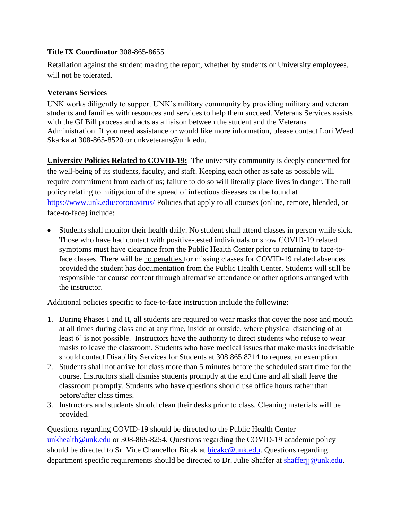### **Title IX Coordinator** 308-865-8655

Retaliation against the student making the report, whether by students or University employees, will not be tolerated.

## **Veterans Services**

UNK works diligently to support UNK's military community by providing military and veteran students and families with resources and services to help them succeed. Veterans Services assists with the GI Bill process and acts as a liaison between the student and the Veterans Administration. If you need assistance or would like more information, please contact Lori Weed Skarka at 308-865-8520 or unkveterans@unk.edu.

**University Policies Related to COVID-19:** The university community is deeply concerned for the well-being of its students, faculty, and staff. Keeping each other as safe as possible will require commitment from each of us; failure to do so will literally place lives in danger. The full policy relating to mitigation of the spread of infectious diseases can be found at <https://www.unk.edu/coronavirus/> Policies that apply to all courses (online, remote, blended, or face-to-face) include:

• Students shall monitor their health daily. No student shall attend classes in person while sick. Those who have had contact with positive-tested individuals or show COVID-19 related symptoms must have clearance from the Public Health Center prior to returning to face-toface classes. There will be no penalties for missing classes for COVID-19 related absences provided the student has documentation from the Public Health Center. Students will still be responsible for course content through alternative attendance or other options arranged with the instructor.

Additional policies specific to face-to-face instruction include the following:

- 1. During Phases I and II, all students are required to wear masks that cover the nose and mouth at all times during class and at any time, inside or outside, where physical distancing of at least 6' is not possible. Instructors have the authority to direct students who refuse to wear masks to leave the classroom. Students who have medical issues that make masks inadvisable should contact Disability Services for Students at 308.865.8214 to request an exemption.
- 2. Students shall not arrive for class more than 5 minutes before the scheduled start time for the course. Instructors shall dismiss students promptly at the end time and all shall leave the classroom promptly. Students who have questions should use office hours rather than before/after class times.
- 3. Instructors and students should clean their desks prior to class. Cleaning materials will be provided.

Questions regarding COVID-19 should be directed to the Public Health Center [unkhealth@unk.edu](mailto:unkhealth@unk.edu) or 308-865-8254. Questions regarding the COVID-19 academic policy should be directed to Sr. Vice Chancellor Bicak at [bicakc@unk.edu.](mailto:bicakc@unk.edu) Questions regarding department specific requirements should be directed to Dr. Julie Shaffer at shafferij@unk.edu.